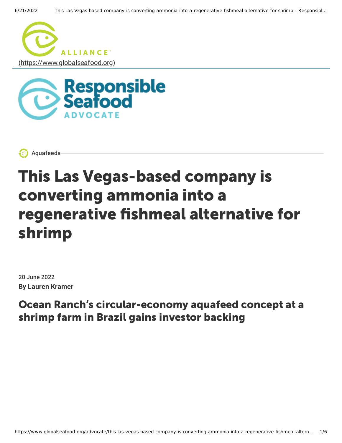





# This Las Vegas-based company is converting ammonia into a regenerative fishmeal alternative for shrimp

20 June 2022 **By Lauren Kramer**

Ocean Ranch's circular-economy aquafeed concept at a shrimp farm in Brazil gains investor backing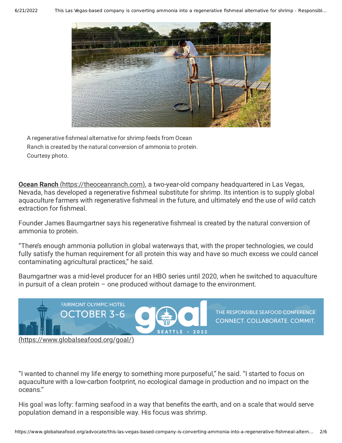#### 6/21/2022 This Las Vegas-based company is converting ammonia into a regenerative fishmeal alternative for shrimp - Responsibl…



A regenerative fishmeal alternative for shrimp feeds from Ocean Ranch is created by the natural conversion of ammonia to protein. Courtesy photo.

**Ocean Ranch** [\(https://theoceanranch.com\),](https://theoceanranch.com/) a two-year-old company headquartered in Las Vegas, Nevada, has developed a regenerative fishmeal substitute for shrimp. Its intention is to supply global aguaculture farmers with regenerative fishmeal in the future, and ultimately end the use of wild catch extraction for fishmeal.

Founder James Baumgartner says his regenerative fishmeal is created by the natural conversion of ammonia to protein.

"There's enough ammonia pollution in global waterways that, with the proper technologies, we could fully satisfy the human requirement for all protein this way and have so much excess we could cancel contaminating agricultural practices," he said.

Baumgartner was a mid-level producer for an HBO series until 2020, when he switched to aquaculture in pursuit of a clean protein  $-$  one produced without damage to the environment.



THE RESPONSIBLE SEAFOOD CONFERENCE **CONNECT. COLLABORATE. COMMIT.** 

[\(https://www.globalseafood.org/goal/\)](https://www.globalseafood.org/goal/)

"I wanted to channel my life energy to something more purposeful," he said. "I started to focus on aquaculture with a low-carbon footprint, no ecological damage in production and no impact on the oceans."

His goal was lofty: farming seafood in a way that benefits the earth, and on a scale that would serve population demand in a responsible way. His focus was shrimp.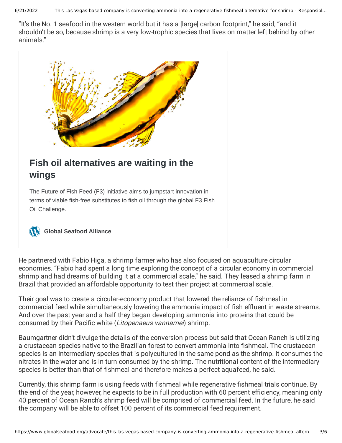6/21/2022 This Las Vegas-based company is converting ammonia into a regenerative fishmeal alternative for shrimp - Responsibl…

"It's the No. 1 seafood in the western world but it has a [large] carbon footprint," he said, "and it shouldn't be so, because shrimp is a very low-trophic species that lives on matter left behind by other animals."



# **[Fish oil alternatives are waiting in the](https://www.globalseafood.org/advocate/fish-oil-alternatives-waiting-in-wings/) wings**

The Future of Fish Feed (F3) initiative aims to jumpstart innovation in terms of viable fish-free substitutes to fish oil through the global F3 Fish Oil Challenge.

**[Global Seafood Alliance](https://www.globalseafood.org/)**

He partnered with Fabio Higa, a shrimp farmer who has also focused on aquaculture circular economies. "Fabio had spent a long time exploring the concept of a circular economy in commercial shrimp and had dreams of building it at a commercial scale," he said. They leased a shrimp farm in Brazil that provided an affordable opportunity to test their project at commercial scale.

Their goal was to create a circular-economy product that lowered the reliance of fishmeal in commercial feed while simultaneously lowering the ammonia impact of fish effluent in waste streams. And over the past year and a half they began developing ammonia into proteins that could be consumed by their Pacific white (Litopenaeus vannamei) shrimp.

Baumgartner didn't divulge the details of the conversion process but said that Ocean Ranch is utilizing a crustacean species native to the Brazilian forest to convert ammonia into fishmeal. The crustacean species is an intermediary species that is polycultured in the same pond as the shrimp. It consumes the nitrates in the water and is in turn consumed by the shrimp. The nutritional content of the intermediary species is better than that of fishmeal and therefore makes a perfect aquafeed, he said.

Currently, this shrimp farm is using feeds with fishmeal while regenerative fishmeal trials continue. By the end of the year, however, he expects to be in full production with 60 percent efficiency, meaning only 40 percent of Ocean Ranch's shrimp feed will be comprised of commercial feed. In the future, he said the company will be able to offset 100 percent of its commercial feed requirement.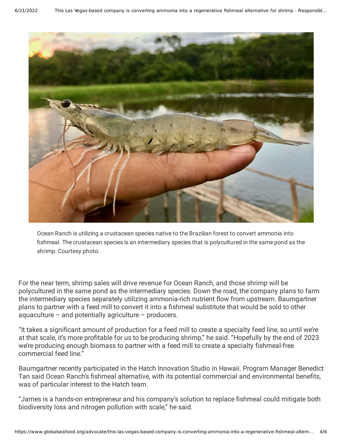

Ocean Ranch is utilizing a crustacean species native to the Brazilian forest to convert ammonia into fishmeal. The crustacean species is an intermediary species that is polycultured in the same pond as the shrimp. Courtesy photo.

For the near term, shrimp sales will drive revenue for Ocean Ranch, and those shrimp will be polycultured in the same pond as the intermediary species. Down the road, the company plans to farm the intermediary species separately utilizing ammonia-rich nutrient flow from upstream. Baumgartner plans to partner with a feed mill to convert it into a fishmeal substitute that would be sold to other aquaculture – and potentially agriculture – producers.

"It takes a signicant amount of production for a feed mill to create a specialty feed line, so until we're at that scale, it's more profitable for us to be producing shrimp," he said. "Hopefully by the end of 2023 we're producing enough biomass to partner with a feed mill to create a specialty fishmeal-free commercial feed line."

Baumgartner recently participated in the Hatch Innovation Studio in Hawaii. Program Manager Benedict Tan said Ocean Ranch's fishmeal alternative, with its potential commercial and environmental benefits, was of particular interest to the Hatch team.

"James is a hands-on entrepreneur and his company's solution to replace fishmeal could mitigate both biodiversity loss and nitrogen pollution with scale," he said.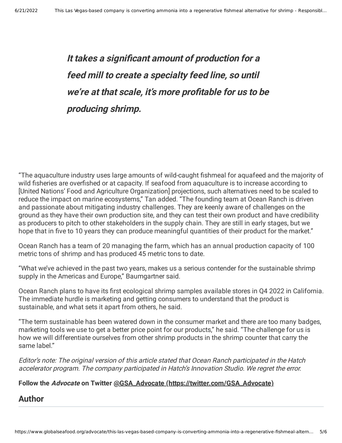**It takes <sup>a</sup> signicant amount of production for <sup>a</sup> feed mill to create <sup>a</sup> specialty feed line, so until we're at that scale, it's more protable for us to be producing shrimp.**

"The aquaculture industry uses large amounts of wild-caught fishmeal for aquafeed and the majority of wild fisheries are overfished or at capacity. If seafood from aquaculture is to increase according to [United Nations' Food and Agriculture Organization] projections, such alternatives need to be scaled to reduce the impact on marine ecosystems," Tan added. "The founding team at Ocean Ranch is driven and passionate about mitigating industry challenges. They are keenly aware of challenges on the ground as they have their own production site, and they can test their own product and have credibility as producers to pitch to other stakeholders in the supply chain. They are still in early stages, but we hope that in five to 10 years they can produce meaningful quantities of their product for the market."

Ocean Ranch has a team of 20 managing the farm, which has an annual production capacity of 100 metric tons of shrimp and has produced 45 metric tons to date.

"What we've achieved in the past two years, makes us a serious contender for the sustainable shrimp supply in the Americas and Europe," Baumgartner said.

Ocean Ranch plans to have its first ecological shrimp samples available stores in Q4 2022 in California. The immediate hurdle is marketing and getting consumers to understand that the product is sustainable, and what sets it apart from others, he said.

"The term sustainable has been watered down in the consumer market and there are too many badges, marketing tools we use to get a better price point for our products," he said. "The challenge for us is how we will differentiate ourselves from other shrimp products in the shrimp counter that carry the same label."

Editor's note: The original version of this article stated that Ocean Ranch participated in the Hatch accelerator program. The company participated in Hatch's Innovation Studio. We regret the error.

### **Follow the Advocate on Twitter @GSA\_Advocate [\(https://twitter.com/GSA\\_Advocate\)](https://twitter.com/GSA_Advocate)**

## **Author**